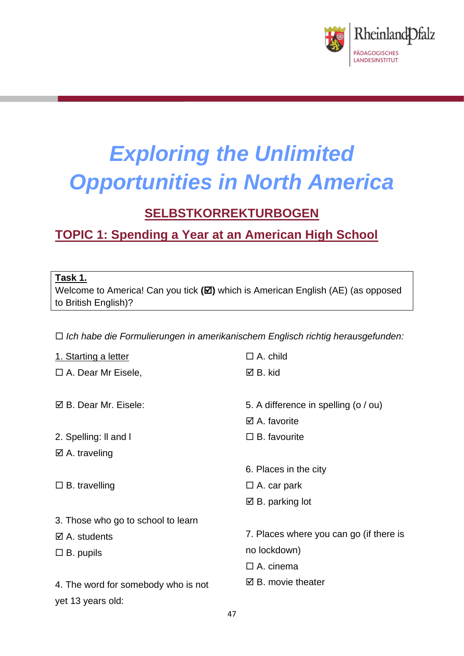

# *Exploring the Unlimited Opportunities in North America*

# **SELBSTKORREKTURBOGEN**

# **TOPIC 1: Spending a Year at an American High School**

## **Task 1.**

Welcome to America! Can you tick (**⊠**) which is American English (AE) (as opposed to British English)?

*Ich habe die Formulierungen in amerikanischem Englisch richtig herausgefunden:*

| 1. Starting a letter                | $\Box$ A. child                         |
|-------------------------------------|-----------------------------------------|
| $\Box$ A. Dear Mr Eisele,           | ⊠ B. kid                                |
|                                     |                                         |
| ☑ B. Dear Mr. Eisele:               | 5. A difference in spelling (o / ou)    |
|                                     | $\boxtimes$ A. favorite                 |
| 2. Spelling: II and I               | $\Box$ B. favourite                     |
| $\boxtimes$ A. traveling            |                                         |
|                                     | 6. Places in the city                   |
| $\Box$ B. travelling                | $\Box$ A. car park                      |
|                                     | $\boxtimes$ B. parking lot              |
| 3. Those who go to school to learn  |                                         |
| $\boxtimes$ A. students             | 7. Places where you can go (if there is |
| $\Box$ B. pupils                    | no lockdown)                            |
|                                     | $\Box$ A. cinema                        |
| 4. The word for somebody who is not | $\boxtimes$ B. movie theater            |
| yet 13 years old:                   |                                         |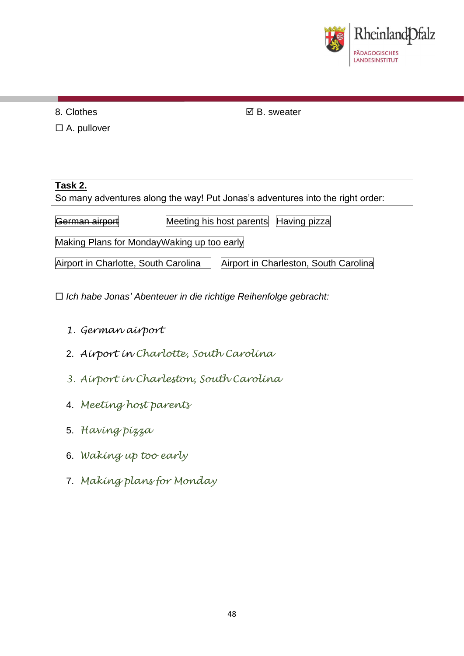

8. Clothes

 $\Box$  A. pullover

**Ø B.** sweater

**Task 2.** So many adventures along the way! Put Jonas's adventures into the right order: German airport Meeting his host parents Having pizza Making Plans for MondayWaking up too early Airport in Charlotte, South Carolina  $|$  Airport in Charleston, South Carolina

*Ich habe Jonas' Abenteuer in die richtige Reihenfolge gebracht:*

- *1. German airport*
- 2. *Airport in Charlotte, South Carolina*
- *3. Airport in Charleston, South Carolina*
- 4. *Meeting host parents*
- 5. *Having pizza*
- 6. *Waking up too early*
- 7. *Making plans for Monday*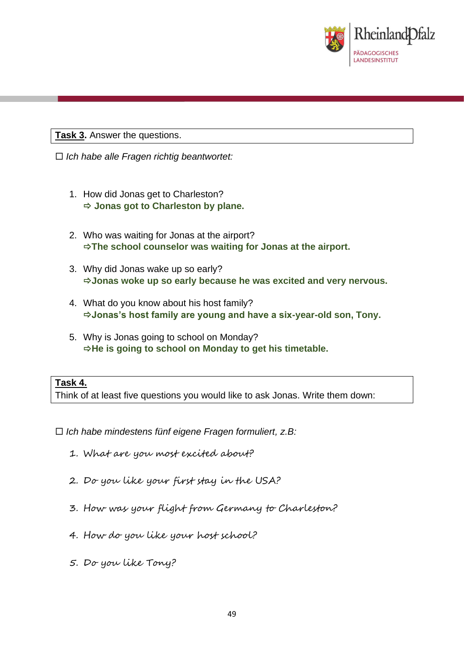

**Task 3.** Answer the questions.

*Ich habe alle Fragen richtig beantwortet:*

- 1. How did Jonas get to Charleston? **Jonas got to Charleston by plane.**
- 2. Who was waiting for Jonas at the airport? **The school counselor was waiting for Jonas at the airport.**
- 3. Why did Jonas wake up so early? **Jonas woke up so early because he was excited and very nervous.**
- 4. What do you know about his host family? **Jonas's host family are young and have a six-year-old son, Tony.**
- 5. Why is Jonas going to school on Monday? **He is going to school on Monday to get his timetable.**

#### **Task 4.**

Think of at least five questions you would like to ask Jonas. Write them down:

- *Ich habe mindestens fünf eigene Fragen formuliert, z.B:*
	- 1. What are you most excited about?
	- 2. Do you like your first stay in the USA?
	- 3. How was your flight from Germany to Charleston?
	- 4. How do you like your host school?
	- 5. Do you like Tony?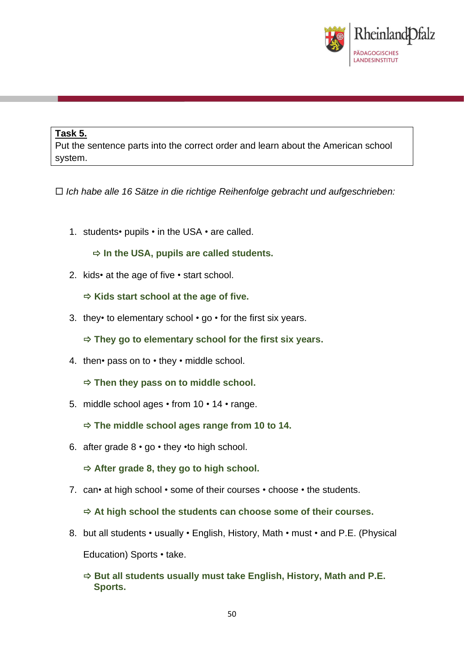

### **Task 5.**

Put the sentence parts into the correct order and learn about the American school system.

*Ich habe alle 16 Sätze in die richtige Reihenfolge gebracht und aufgeschrieben:*

1. students• pupils • in the USA • are called.

**In the USA, pupils are called students.**

2. kids• at the age of five • start school.

**Kids start school at the age of five.**

3. they• to elementary school  $\cdot$  go  $\cdot$  for the first six years.

**They go to elementary school for the first six years.**

4. then• pass on to • they • middle school.

**Then they pass on to middle school.**

5. middle school ages • from 10 • 14 • range.

**The middle school ages range from 10 to 14.**

6. after grade 8 • go • they •to high school.

**After grade 8, they go to high school.**

7. can• at high school • some of their courses • choose • the students.

**At high school the students can choose some of their courses.**

- 8. but all students usually English, History, Math must and P.E. (Physical Education) Sports • take.
	- **But all students usually must take English, History, Math and P.E. Sports.**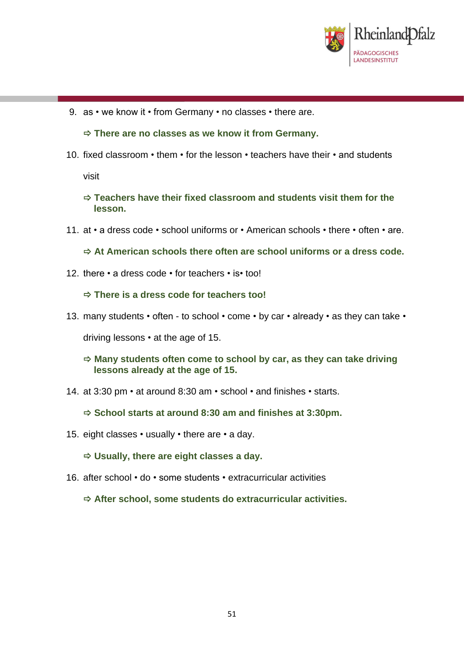

9. as • we know it • from Germany • no classes • there are.

**There are no classes as we know it from Germany.**

10. fixed classroom • them • for the lesson • teachers have their • and students

visit

- **Teachers have their fixed classroom and students visit them for the lesson.**
- 11. at a dress code school uniforms or American schools there often are.
	- **At American schools there often are school uniforms or a dress code.**
- 12. there a dress code for teachers is• too!

**There is a dress code for teachers too!**

13. many students • often - to school • come • by car • already • as they can take •

driving lessons • at the age of 15.

- **Many students often come to school by car, as they can take driving lessons already at the age of 15.**
- 14. at 3:30 pm at around 8:30 am school and finishes starts.
	- **School starts at around 8:30 am and finishes at 3:30pm.**
- 15. eight classes usually there are a day.

**Usually, there are eight classes a day.**

16. after school • do • some students • extracurricular activities

**After school, some students do extracurricular activities.**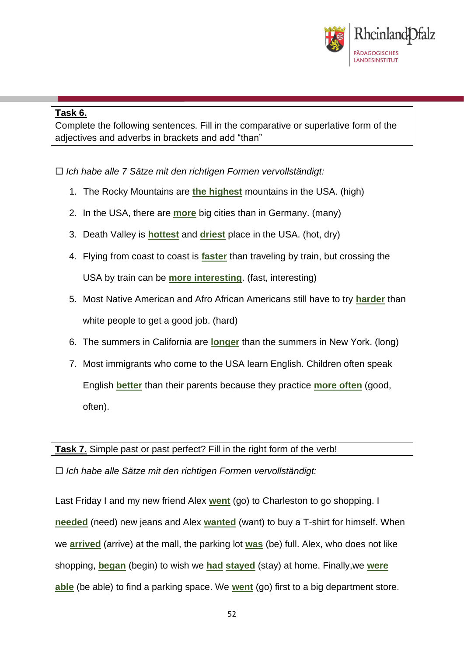

### **Task 6.**

Complete the following sentences. Fill in the comparative or superlative form of the adjectives and adverbs in brackets and add "than"

*Ich habe alle 7 Sätze mit den richtigen Formen vervollständigt:*

- 1. The Rocky Mountains are **the highest** mountains in the USA. (high)
- 2. In the USA, there are **more** big cities than in Germany. (many)
- 3. Death Valley is **hottest** and **driest** place in the USA. (hot, dry)
- 4. Flying from coast to coast is **faster** than traveling by train, but crossing the USA by train can be **more interesting**. (fast, interesting)
- 5. Most Native American and Afro African Americans still have to try **harder** than white people to get a good job. (hard)
- 6. The summers in California are **longer** than the summers in New York. (long)
- 7. Most immigrants who come to the USA learn English. Children often speak English **better** than their parents because they practice **more often** (good, often).

**Task 7.** Simple past or past perfect? Fill in the right form of the verb!

*Ich habe alle Sätze mit den richtigen Formen vervollständigt:*

Last Friday I and my new friend Alex **went** (go) to Charleston to go shopping. I **needed** (need) new jeans and Alex **wanted** (want) to buy a T-shirt for himself. When we **arrived** (arrive) at the mall, the parking lot **was** (be) full. Alex, who does not like shopping, **began** (begin) to wish we **had stayed** (stay) at home. Finally,we **were able** (be able) to find a parking space. We **went** (go) first to a big department store.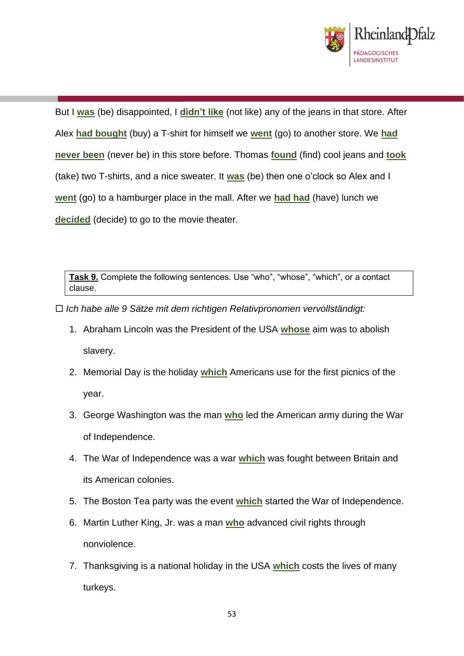

But I **was** (be) disappointed, I **didn't like** (not like) any of the jeans in that store. After Alex **had bought** (buy) a T-shirt for himself we **went** (go) to another store. We **had never been** (never be) in this store before. Thomas **found** (find) cool jeans and **took** (take) two T-shirts, and a nice sweater. It **was** (be) then one o'clock so Alex and I **went** (go) to a hamburger place in the mall. After we **had had** (have) lunch we **decided** (decide) to go to the movie theater.

**Task 9.** Complete the following sentences. Use "who", "whose", "which", or a contact clause.

*Ich habe alle 9 Sätze mit dem richtigen Relativpronomen vervollständigt:*

- 1. Abraham Lincoln was the President of the USA **whose** aim was to abolish slavery.
- 2. Memorial Day is the holiday **which** Americans use for the first picnics of the year.
- 3. George Washington was the man **who** led the American army during the War of Independence.
- 4. The War of Independence was a war **which** was fought between Britain and its American colonies.
- 5. The Boston Tea party was the event **which** started the War of Independence.
- 6. Martin Luther King, Jr. was a man **who** advanced civil rights through nonviolence.
- 7. Thanksgiving is a national holiday in the USA **which** costs the lives of many turkeys.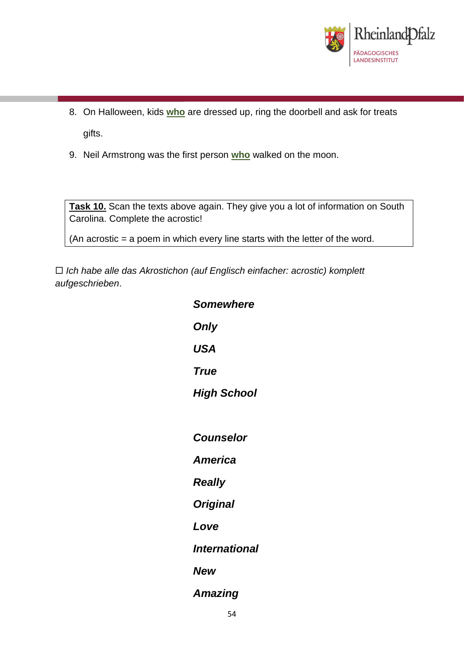

- 8. On Halloween, kids **who** are dressed up, ring the doorbell and ask for treats gifts.
- 9. Neil Armstrong was the first person **who** walked on the moon.

**Task 10.** Scan the texts above again. They give you a lot of information on South Carolina. Complete the acrostic!

(An acrostic = a poem in which every line starts with the letter of the word.

 *Ich habe alle das Akrostichon (auf Englisch einfacher: acrostic) komplett aufgeschrieben*.

| <b>Somewhere</b>     |
|----------------------|
| Only                 |
| <b>USA</b>           |
| <b>True</b>          |
| <b>High School</b>   |
|                      |
| <b>Counselor</b>     |
| <b>America</b>       |
| <b>Really</b>        |
| <b>Original</b>      |
| Love                 |
| <b>International</b> |
| <b>New</b>           |
| <b>Amazing</b>       |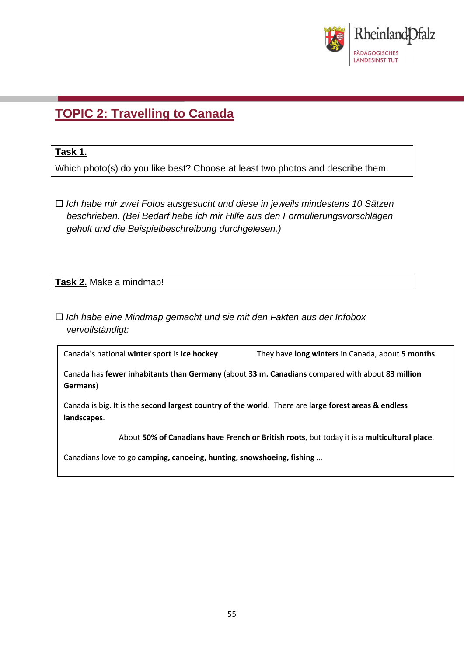

## **TOPIC 2: Travelling to Canada**

#### **Task 1.**

Which photo(s) do you like best? Choose at least two photos and describe them.

 *Ich habe mir zwei Fotos ausgesucht und diese in jeweils mindestens 10 Sätzen beschrieben. (Bei Bedarf habe ich mir Hilfe aus den Formulierungsvorschlägen geholt und die Beispielbeschreibung durchgelesen.)*

**Task 2.** Make a mindmap!

 *Ich habe eine Mindmap gemacht und sie mit den Fakten aus der Infobox vervollständigt:*

Canada's national **winter sport** is **ice hockey**. They have **long winters** in Canada, about **5 months**.

Canada has **fewer inhabitants than Germany** (about **33 m. Canadians** compared with about **83 million Germans**)

Canada is big. It is the **second largest country of the world**. There are **large forest areas & endless landscapes**.

About **50% of Canadians have French or British roots**, but today it is a **multicultural place**.

Canadians love to go **camping, canoeing, hunting, snowshoeing, fishing** …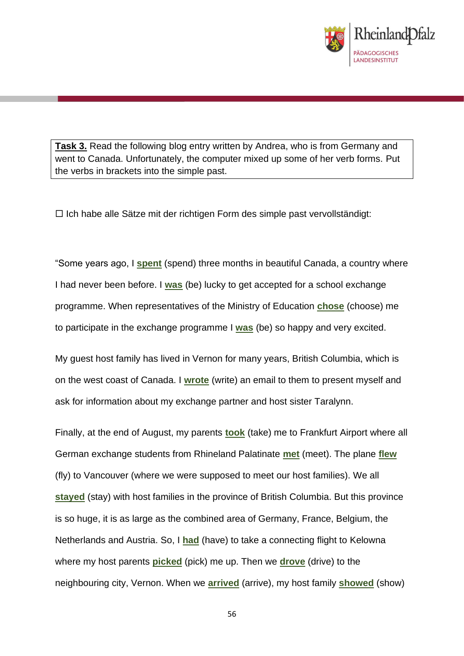

**Task 3.** Read the following blog entry written by Andrea, who is from Germany and went to Canada. Unfortunately, the computer mixed up some of her verb forms. Put the verbs in brackets into the simple past.

 $\Box$  Ich habe alle Sätze mit der richtigen Form des simple past vervollständigt:

"Some years ago, I **spent** (spend) three months in beautiful Canada, a country where I had never been before. I **was** (be) lucky to get accepted for a school exchange programme. When representatives of the Ministry of Education **chose** (choose) me to participate in the exchange programme I **was** (be) so happy and very excited.

My guest host family has lived in Vernon for many years, British Columbia, which is on the west coast of Canada. I **wrote** (write) an email to them to present myself and ask for information about my exchange partner and host sister Taralynn.

Finally, at the end of August, my parents **took** (take) me to Frankfurt Airport where all German exchange students from Rhineland Palatinate **met** (meet). The plane **flew** (fly) to Vancouver (where we were supposed to meet our host families). We all **stayed** (stay) with host families in the province of British Columbia. But this province is so huge, it is as large as the combined area of Germany, France, Belgium, the Netherlands and Austria. So, I **had** (have) to take a connecting flight to Kelowna where my host parents **picked** (pick) me up. Then we **drove** (drive) to the neighbouring city, Vernon. When we **arrived** (arrive), my host family **showed** (show)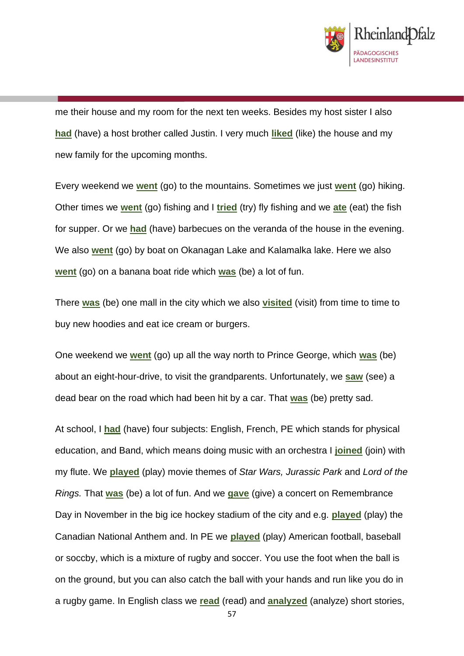

me their house and my room for the next ten weeks. Besides my host sister I also **had** (have) a host brother called Justin. I very much **liked** (like) the house and my new family for the upcoming months.

Every weekend we **went** (go) to the mountains. Sometimes we just **went** (go) hiking. Other times we **went** (go) fishing and I **tried** (try) fly fishing and we **ate** (eat) the fish for supper. Or we **had** (have) barbecues on the veranda of the house in the evening. We also **went** (go) by boat on Okanagan Lake and Kalamalka lake. Here we also **went** (go) on a banana boat ride which **was** (be) a lot of fun.

There **was** (be) one mall in the city which we also **visited** (visit) from time to time to buy new hoodies and eat ice cream or burgers.

One weekend we **went** (go) up all the way north to Prince George, which **was** (be) about an eight-hour-drive, to visit the grandparents. Unfortunately, we **saw** (see) a dead bear on the road which had been hit by a car. That **was** (be) pretty sad.

At school, I **had** (have) four subjects: English, French, PE which stands for physical education, and Band, which means doing music with an orchestra I **joined** (join) with my flute. We **played** (play) movie themes of *Star Wars, Jurassic Park* and *Lord of the Rings.* That **was** (be) a lot of fun. And we **gave** (give) a concert on Remembrance Day in November in the big ice hockey stadium of the city and e.g. **played** (play) the Canadian National Anthem and. In PE we **played** (play) American football, baseball or soccby, which is a mixture of rugby and soccer. You use the foot when the ball is on the ground, but you can also catch the ball with your hands and run like you do in a rugby game. In English class we **read** (read) and **analyzed** (analyze) short stories,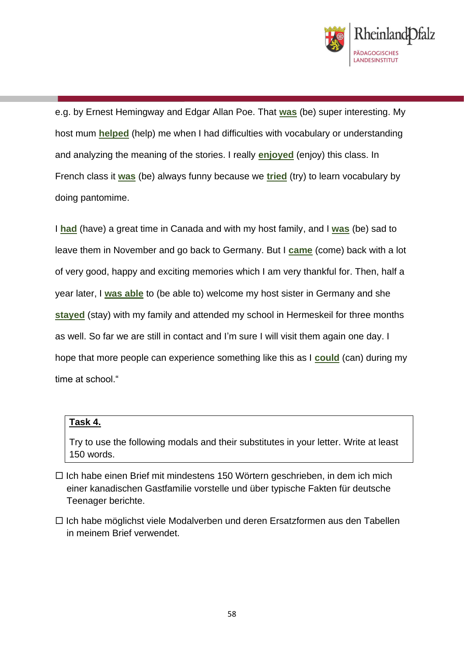

e.g. by Ernest Hemingway and Edgar Allan Poe. That **was** (be) super interesting. My host mum **helped** (help) me when I had difficulties with vocabulary or understanding and analyzing the meaning of the stories. I really **enjoyed** (enjoy) this class. In French class it **was** (be) always funny because we **tried** (try) to learn vocabulary by doing pantomime.

I **had** (have) a great time in Canada and with my host family, and I **was** (be) sad to leave them in November and go back to Germany. But I **came** (come) back with a lot of very good, happy and exciting memories which I am very thankful for. Then, half a year later, I **was able** to (be able to) welcome my host sister in Germany and she **stayed** (stay) with my family and attended my school in Hermeskeil for three months as well. So far we are still in contact and I'm sure I will visit them again one day. I hope that more people can experience something like this as I **could** (can) during my time at school."

#### **Task 4.**

Try to use the following modals and their substitutes in your letter. Write at least 150 words.

- $\Box$  Ich habe einen Brief mit mindestens 150 Wörtern geschrieben, in dem ich mich einer kanadischen Gastfamilie vorstelle und über typische Fakten für deutsche Teenager berichte.
- $\Box$  Ich habe möglichst viele Modalverben und deren Ersatzformen aus den Tabellen in meinem Brief verwendet.